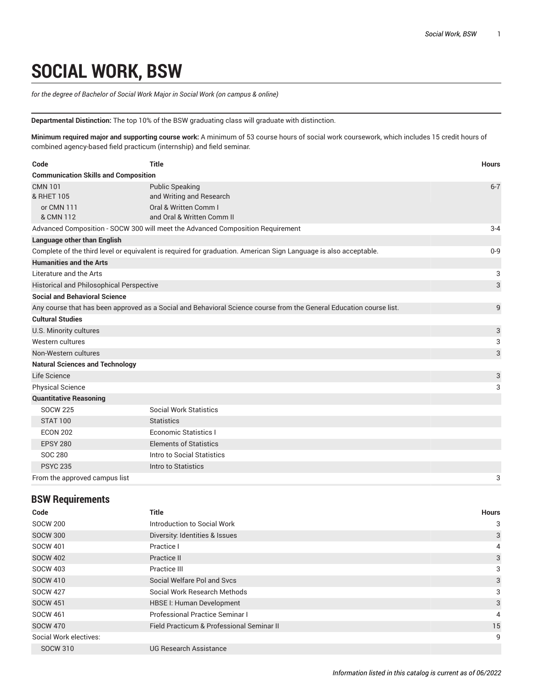## **SOCIAL WORK, BSW**

*for the degree of Bachelor of Social Work Major in Social Work (on campus & online)*

**Departmental Distinction:** The top 10% of the BSW graduating class will graduate with distinction.

**Minimum required major and supporting course work:** A minimum of 53 course hours of social work coursework, which includes 15 credit hours of combined agency-based field practicum (internship) and field seminar.

| Code                                        | <b>Title</b>                                                                                                        | <b>Hours</b> |
|---------------------------------------------|---------------------------------------------------------------------------------------------------------------------|--------------|
| <b>Communication Skills and Composition</b> |                                                                                                                     |              |
| <b>CMN 101</b>                              | <b>Public Speaking</b>                                                                                              | $6 - 7$      |
| & RHET 105                                  | and Writing and Research                                                                                            |              |
| or CMN 111<br>& CMN 112                     | Oral & Written Comm I<br>and Oral & Written Comm II                                                                 |              |
|                                             | Advanced Composition - SOCW 300 will meet the Advanced Composition Requirement                                      | $3 - 4$      |
| <b>Language other than English</b>          |                                                                                                                     |              |
|                                             | Complete of the third level or equivalent is required for graduation. American Sign Language is also acceptable.    | $0 - 9$      |
| <b>Humanities and the Arts</b>              |                                                                                                                     |              |
| Literature and the Arts                     |                                                                                                                     | 3            |
| Historical and Philosophical Perspective    |                                                                                                                     | 3            |
| <b>Social and Behavioral Science</b>        |                                                                                                                     |              |
|                                             |                                                                                                                     |              |
|                                             | Any course that has been approved as a Social and Behavioral Science course from the General Education course list. | 9            |
| <b>Cultural Studies</b>                     |                                                                                                                     |              |
| U.S. Minority cultures                      |                                                                                                                     | 3            |
| Western cultures                            |                                                                                                                     | 3            |
| Non-Western cultures                        |                                                                                                                     | 3            |
| <b>Natural Sciences and Technology</b>      |                                                                                                                     |              |
| Life Science                                |                                                                                                                     | 3            |
| <b>Physical Science</b>                     |                                                                                                                     | 3            |
| <b>Quantitative Reasoning</b>               |                                                                                                                     |              |
| <b>SOCW 225</b>                             | <b>Social Work Statistics</b>                                                                                       |              |
| <b>STAT 100</b>                             | <b>Statistics</b>                                                                                                   |              |
| <b>ECON 202</b>                             | <b>Economic Statistics I</b>                                                                                        |              |
| <b>EPSY 280</b>                             | <b>Elements of Statistics</b>                                                                                       |              |
| <b>SOC 280</b>                              | Intro to Social Statistics                                                                                          |              |
| <b>PSYC 235</b>                             | Intro to Statistics                                                                                                 |              |
| From the approved campus list               |                                                                                                                     | 3            |

## **BSW Requirements**

| Code                   | <b>Title</b>                              | <b>Hours</b> |
|------------------------|-------------------------------------------|--------------|
| <b>SOCW 200</b>        | Introduction to Social Work               | 3            |
| <b>SOCW 300</b>        | Diversity: Identities & Issues            | 3            |
| <b>SOCW 401</b>        | Practice I                                | 4            |
| <b>SOCW 402</b>        | Practice II                               | 3            |
| <b>SOCW 403</b>        | Practice III                              | 3            |
| <b>SOCW 410</b>        | Social Welfare Pol and Sycs               | 3            |
| <b>SOCW 427</b>        | Social Work Research Methods              | 3            |
| <b>SOCW 451</b>        | <b>HBSE I: Human Development</b>          | 3            |
| <b>SOCW 461</b>        | <b>Professional Practice Seminar I</b>    | 4            |
| <b>SOCW 470</b>        | Field Practicum & Professional Seminar II | 15           |
| Social Work electives: |                                           | 9            |
| <b>SOCW 310</b>        | <b>UG Research Assistance</b>             |              |